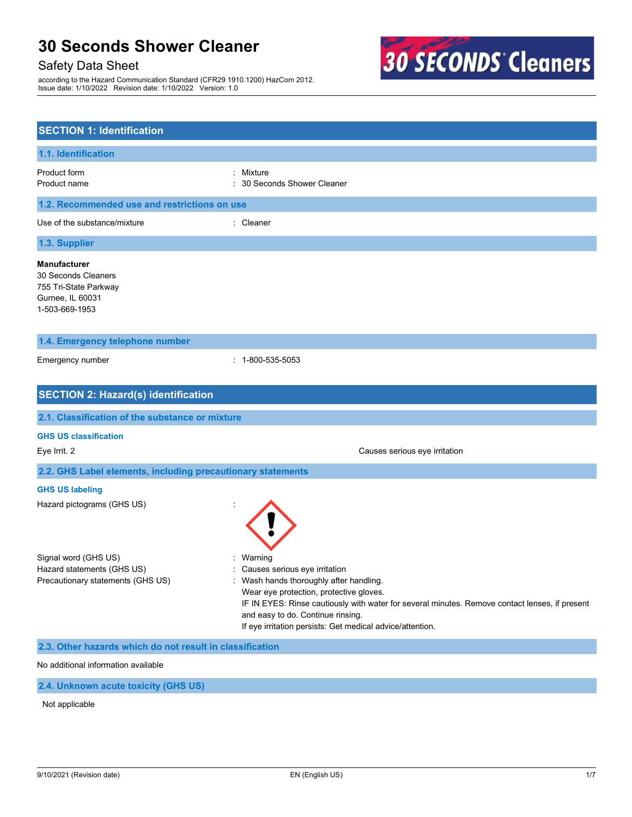# Safety Data Sheet

according to the Hazard Communication Standard (CFR29 1910.1200) HazCom 2012. Issue date: 1/10/2022 Revision date: 1/10/2022 Version: 1.0



| <b>SECTION 1: Identification</b>                                                                          |                                                                                                                                                                                                                                                                                                                                  |
|-----------------------------------------------------------------------------------------------------------|----------------------------------------------------------------------------------------------------------------------------------------------------------------------------------------------------------------------------------------------------------------------------------------------------------------------------------|
| 1.1. Identification                                                                                       |                                                                                                                                                                                                                                                                                                                                  |
| Product form<br>Product name                                                                              | Mixture<br>30 Seconds Shower Cleaner                                                                                                                                                                                                                                                                                             |
| 1.2. Recommended use and restrictions on use                                                              |                                                                                                                                                                                                                                                                                                                                  |
| Use of the substance/mixture                                                                              | : Cleaner                                                                                                                                                                                                                                                                                                                        |
| 1.3. Supplier                                                                                             |                                                                                                                                                                                                                                                                                                                                  |
| <b>Manufacturer</b><br>30 Seconds Cleaners<br>755 Tri-State Parkway<br>Gurnee, IL 60031<br>1-503-669-1953 |                                                                                                                                                                                                                                                                                                                                  |
| 1.4. Emergency telephone number                                                                           |                                                                                                                                                                                                                                                                                                                                  |
| Emergency number                                                                                          | $: 1 - 800 - 535 - 5053$                                                                                                                                                                                                                                                                                                         |
| <b>SECTION 2: Hazard(s) identification</b>                                                                |                                                                                                                                                                                                                                                                                                                                  |
| 2.1. Classification of the substance or mixture                                                           |                                                                                                                                                                                                                                                                                                                                  |
| <b>GHS US classification</b><br>Eye Irrit. 2                                                              | Causes serious eye irritation                                                                                                                                                                                                                                                                                                    |
| 2.2. GHS Label elements, including precautionary statements                                               |                                                                                                                                                                                                                                                                                                                                  |
| <b>GHS US labeling</b><br>Hazard pictograms (GHS US)                                                      |                                                                                                                                                                                                                                                                                                                                  |
| Signal word (GHS US)<br>Hazard statements (GHS US)<br>Precautionary statements (GHS US)                   | Warning<br>Causes serious eye irritation<br>Wash hands thoroughly after handling.<br>Wear eye protection, protective gloves.<br>IF IN EYES: Rinse cautiously with water for several minutes. Remove contact lenses, if present<br>and easy to do. Continue rinsing.<br>If eye irritation persists: Get medical advice/attention. |
| 2.3. Other hazards which do not result in classification                                                  |                                                                                                                                                                                                                                                                                                                                  |
| No additional information available                                                                       |                                                                                                                                                                                                                                                                                                                                  |

**2.4. Unknown acute toxicity (GHS US)**

Not applicable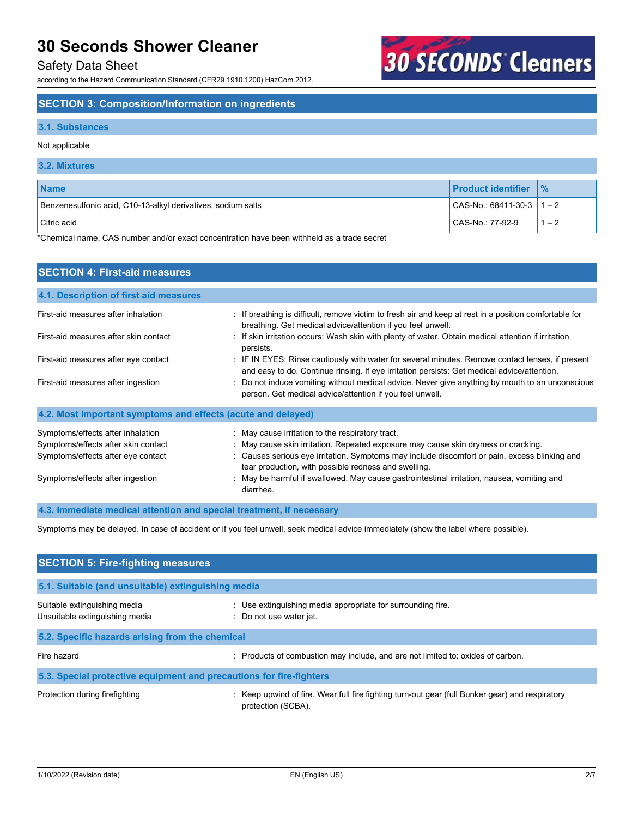## Safety Data Sheet

according to the Hazard Communication Standard (CFR29 1910.1200) HazCom 2012.

# **SECTION 3: Composition/Information on ingredients**

### **3.1. Substances**

### Not applicable

| 3.2. Mixtures                                                |                               |               |
|--------------------------------------------------------------|-------------------------------|---------------|
| <b>Name</b>                                                  | <b>Product identifier</b>     | $\frac{9}{6}$ |
| Benzenesulfonic acid, C10-13-alkyl derivatives, sodium salts | $  CAS-No.: 68411-30-3   1-2$ |               |
| l Citric acid                                                | CAS-No.: 77-92-9              | $1 - 2$       |

**30 SECONDS Cleaners** 

\*Chemical name, CAS number and/or exact concentration have been withheld as a trade secret

| <b>SECTION 4: First-aid measures</b>                                                                                                               |                                                                                                                                                                                                                                                                                                                                                                                           |
|----------------------------------------------------------------------------------------------------------------------------------------------------|-------------------------------------------------------------------------------------------------------------------------------------------------------------------------------------------------------------------------------------------------------------------------------------------------------------------------------------------------------------------------------------------|
| 4.1. Description of first aid measures                                                                                                             |                                                                                                                                                                                                                                                                                                                                                                                           |
| First-aid measures after inhalation                                                                                                                | : If breathing is difficult, remove victim to fresh air and keep at rest in a position comfortable for<br>breathing. Get medical advice/attention if you feel unwell.                                                                                                                                                                                                                     |
| First-aid measures after skin contact                                                                                                              | : If skin irritation occurs: Wash skin with plenty of water. Obtain medical attention if irritation<br>persists.                                                                                                                                                                                                                                                                          |
| First-aid measures after eye contact                                                                                                               | : IF IN EYES: Rinse cautiously with water for several minutes. Remove contact lenses, if present<br>and easy to do. Continue rinsing. If eye irritation persists: Get medical advice/attention.                                                                                                                                                                                           |
| First-aid measures after ingestion                                                                                                                 | Do not induce vomiting without medical advice. Never give anything by mouth to an unconscious<br>person. Get medical advice/attention if you feel unwell.                                                                                                                                                                                                                                 |
| 4.2. Most important symptoms and effects (acute and delayed)                                                                                       |                                                                                                                                                                                                                                                                                                                                                                                           |
| Symptoms/effects after inhalation<br>Symptoms/effects after skin contact<br>Symptoms/effects after eye contact<br>Symptoms/effects after ingestion | : May cause irritation to the respiratory tract.<br>: May cause skin irritation. Repeated exposure may cause skin dryness or cracking.<br>Causes serious eye irritation. Symptoms may include discomfort or pain, excess blinking and<br>tear production, with possible redness and swelling.<br>May be harmful if swallowed. May cause gastrointestinal irritation, nausea, vomiting and |
| 4.3. Immediate medical attention and special treatment, if necessary                                                                               | diarrhea.                                                                                                                                                                                                                                                                                                                                                                                 |

Symptoms may be delayed. In case of accident or if you feel unwell, seek medical advice immediately (show the label where possible).

| <b>SECTION 5: Fire-fighting measures</b>                            |                                                                                                                       |  |
|---------------------------------------------------------------------|-----------------------------------------------------------------------------------------------------------------------|--|
| 5.1. Suitable (and unsuitable) extinguishing media                  |                                                                                                                       |  |
| Suitable extinguishing media<br>Unsuitable extinguishing media      | : Use extinguishing media appropriate for surrounding fire.<br>: Do not use water jet.                                |  |
| 5.2. Specific hazards arising from the chemical                     |                                                                                                                       |  |
| Fire hazard                                                         | Products of combustion may include, and are not limited to: oxides of carbon.                                         |  |
| 5.3. Special protective equipment and precautions for fire-fighters |                                                                                                                       |  |
| Protection during firefighting                                      | : Keep upwind of fire. Wear full fire fighting turn-out gear (full Bunker gear) and respiratory<br>protection (SCBA). |  |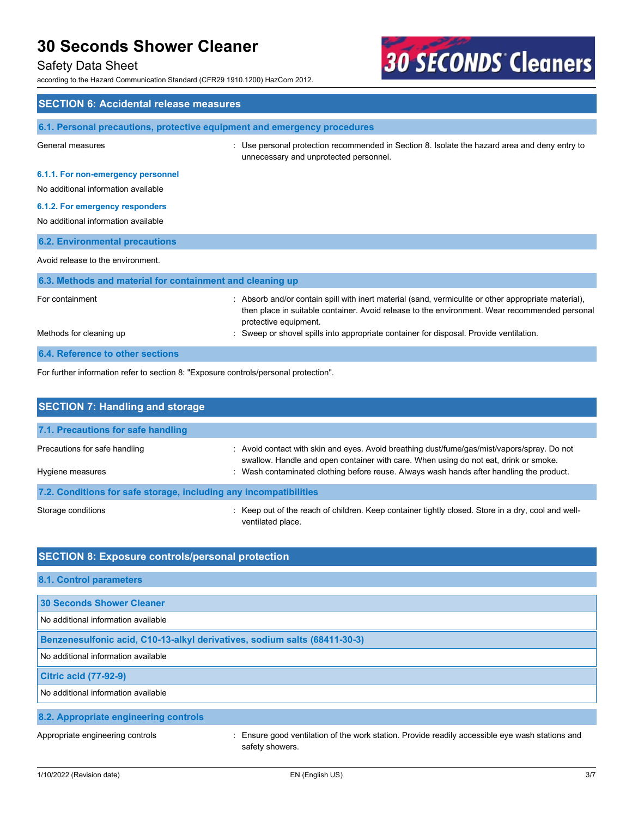## Safety Data Sheet

according to the Hazard Communication Standard (CFR29 1910.1200) HazCom 2012.



| <b>SECTION 6: Accidental release measures</b>                                        |                                                                                                                                                                                                                                |  |
|--------------------------------------------------------------------------------------|--------------------------------------------------------------------------------------------------------------------------------------------------------------------------------------------------------------------------------|--|
| 6.1. Personal precautions, protective equipment and emergency procedures             |                                                                                                                                                                                                                                |  |
| General measures                                                                     | Use personal protection recommended in Section 8. Isolate the hazard area and deny entry to<br>unnecessary and unprotected personnel.                                                                                          |  |
| 6.1.1. For non-emergency personnel<br>No additional information available            |                                                                                                                                                                                                                                |  |
| 6.1.2. For emergency responders<br>No additional information available               |                                                                                                                                                                                                                                |  |
| <b>6.2. Environmental precautions</b>                                                |                                                                                                                                                                                                                                |  |
| Avoid release to the environment.                                                    |                                                                                                                                                                                                                                |  |
| 6.3. Methods and material for containment and cleaning up                            |                                                                                                                                                                                                                                |  |
| For containment                                                                      | : Absorb and/or contain spill with inert material (sand, vermiculite or other appropriate material),<br>then place in suitable container. Avoid release to the environment. Wear recommended personal<br>protective equipment. |  |
| Methods for cleaning up                                                              | Sweep or shovel spills into appropriate container for disposal. Provide ventilation.                                                                                                                                           |  |
| 6.4. Reference to other sections                                                     |                                                                                                                                                                                                                                |  |
| For further information refer to section 8: "Exposure controls/personal protection". |                                                                                                                                                                                                                                |  |

| <b>SECTION 7: Handling and storage</b>                            |                                                                                                                                                                                                                                                                                 |  |
|-------------------------------------------------------------------|---------------------------------------------------------------------------------------------------------------------------------------------------------------------------------------------------------------------------------------------------------------------------------|--|
| 7.1. Precautions for safe handling                                |                                                                                                                                                                                                                                                                                 |  |
| Precautions for safe handling<br>Hygiene measures                 | : Avoid contact with skin and eyes. Avoid breathing dust/fume/gas/mist/vapors/spray. Do not<br>swallow. Handle and open container with care. When using do not eat, drink or smoke.<br>: Wash contaminated clothing before reuse. Always wash hands after handling the product. |  |
| 7.2. Conditions for safe storage, including any incompatibilities |                                                                                                                                                                                                                                                                                 |  |
| Storage conditions                                                | . Keep out of the reach of children. Keep container tightly closed. Store in a dry, cool and well-<br>ventilated place.                                                                                                                                                         |  |

| <b>SECTION 8: Exposure controls/personal protection</b> |
|---------------------------------------------------------|
|---------------------------------------------------------|

| 8.1. Control parameters                                                   |                                                                                                                  |
|---------------------------------------------------------------------------|------------------------------------------------------------------------------------------------------------------|
|                                                                           |                                                                                                                  |
| 30 Seconds Shower Cleaner                                                 |                                                                                                                  |
| No additional information available                                       |                                                                                                                  |
| Benzenesulfonic acid, C10-13-alkyl derivatives, sodium salts (68411-30-3) |                                                                                                                  |
| No additional information available                                       |                                                                                                                  |
| <b>Citric acid (77-92-9)</b>                                              |                                                                                                                  |
| No additional information available                                       |                                                                                                                  |
| 8.2. Appropriate engineering controls                                     |                                                                                                                  |
| Appropriate engineering controls                                          | Ensure good ventilation of the work station. Provide readily accessible eye wash stations and<br>safety showers. |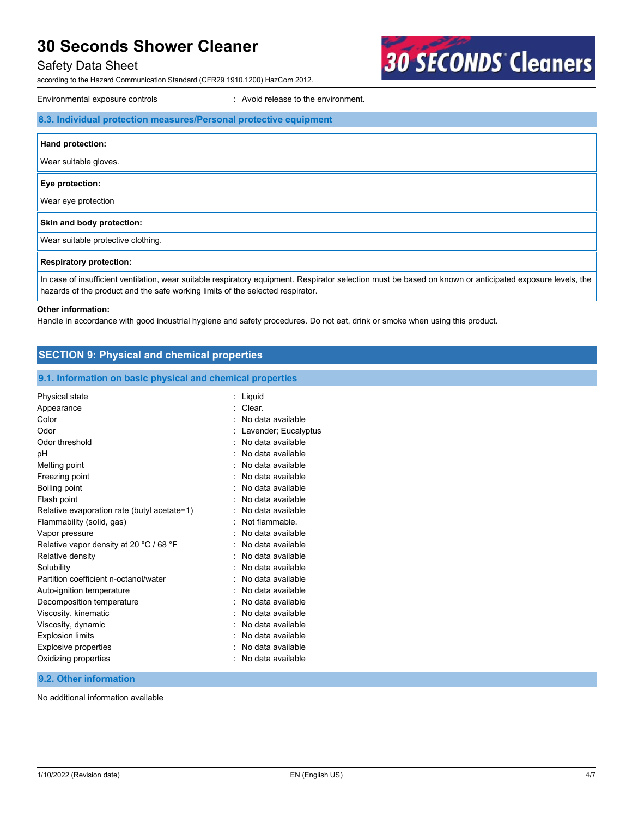## Safety Data Sheet

according to the Hazard Communication Standard (CFR29 1910.1200) HazCom 2012.

Environmental exposure controls **Environment**. Avoid release to the environment.

| 8.3. Individual protection measures/Personal protective equipment |
|-------------------------------------------------------------------|
| Hand protection:                                                  |
| Wear suitable gloves.                                             |
| Eye protection:                                                   |
| Wear eye protection                                               |
| Skin and body protection:                                         |
| Wear suitable protective clothing.                                |
| <b>Respiratory protection:</b>                                    |

**30 SECONDS Cleaners** 

In case of insufficient ventilation, wear suitable respiratory equipment. Respirator selection must be based on known or anticipated exposure levels, the hazards of the product and the safe working limits of the selected respirator.

#### **Other information:**

Handle in accordance with good industrial hygiene and safety procedures. Do not eat, drink or smoke when using this product.

| <b>SECTION 9: Physical and chemical properties</b>         |                          |
|------------------------------------------------------------|--------------------------|
| 9.1. Information on basic physical and chemical properties |                          |
| Physical state                                             | $:$ Liquid               |
| Appearance                                                 | Clear.<br>$\blacksquare$ |
| Color                                                      | No data available        |
| Odor                                                       | Lavender; Eucalyptus     |
| Odor threshold                                             | No data available        |
| pH                                                         | No data available        |
| Melting point                                              | No data available        |
| Freezing point                                             | No data available        |
| <b>Boiling point</b>                                       | No data available        |
| Flash point                                                | No data available        |
| Relative evaporation rate (butyl acetate=1)                | No data available        |
| Flammability (solid, gas)                                  | Not flammable            |
| Vapor pressure                                             | No data available        |
| Relative vapor density at 20 °C / 68 °F                    | No data available        |
| Relative density                                           | No data available        |
| Solubility                                                 | No data available        |
| Partition coefficient n-octanol/water                      | No data available        |
| Auto-ignition temperature                                  | No data available        |
| Decomposition temperature                                  | No data available        |
| Viscosity, kinematic                                       | No data available        |
| Viscosity, dynamic                                         | No data available        |
| <b>Explosion limits</b>                                    | No data available        |
| <b>Explosive properties</b>                                | No data available        |
| Oxidizing properties                                       | No data available        |
| 9.2. Other information                                     |                          |

No additional information available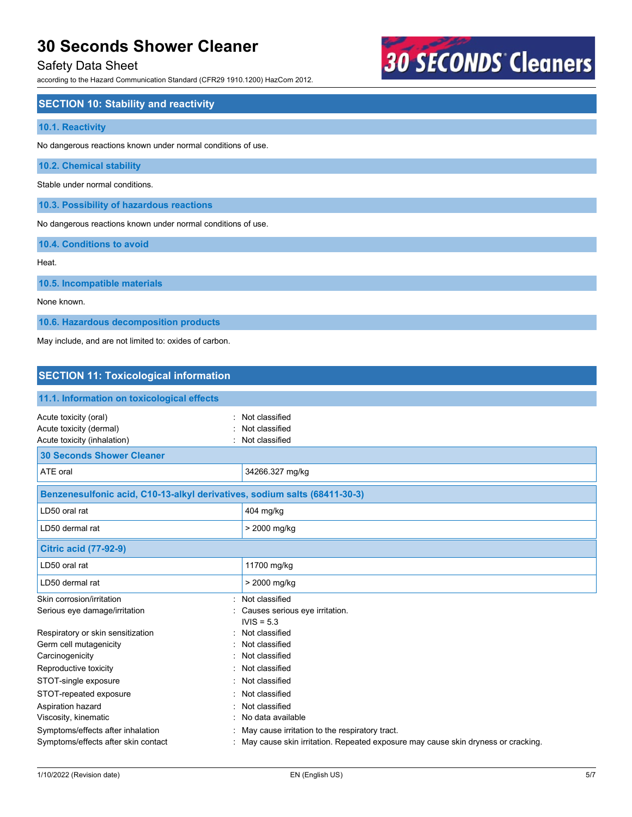# Safety Data Sheet

according to the Hazard Communication Standard (CFR29 1910.1200) HazCom 2012.

# **30 SECONDS Cleaners**

| <b>SECTION 10: Stability and reactivity</b>                  |
|--------------------------------------------------------------|
| 10.1. Reactivity                                             |
| No dangerous reactions known under normal conditions of use. |
| 10.2. Chemical stability                                     |
| Stable under normal conditions.                              |
| 10.3. Possibility of hazardous reactions                     |
| No dangerous reactions known under normal conditions of use. |
| 10.4. Conditions to avoid                                    |
| Heat.                                                        |
| 10.5. Incompatible materials                                 |
| None known.                                                  |
| 10.6. Hazardous decomposition products                       |
| May include, and are not limited to: oxides of carbon.       |
|                                                              |
| <b>SECTION 11: Toxicological information</b>                 |

| 11.1. Information on toxicological effects                                      |                                                                                  |  |
|---------------------------------------------------------------------------------|----------------------------------------------------------------------------------|--|
| Acute toxicity (oral)<br>Acute toxicity (dermal)<br>Acute toxicity (inhalation) | Not classified<br>Not classified<br>Not classified                               |  |
| <b>30 Seconds Shower Cleaner</b>                                                |                                                                                  |  |
| ATE oral                                                                        | 34266.327 mg/kg                                                                  |  |
| Benzenesulfonic acid, C10-13-alkyl derivatives, sodium salts (68411-30-3)       |                                                                                  |  |
| LD50 oral rat                                                                   | 404 mg/kg                                                                        |  |
| LD50 dermal rat                                                                 | > 2000 mg/kg                                                                     |  |
| <b>Citric acid (77-92-9)</b>                                                    |                                                                                  |  |
| LD50 oral rat                                                                   | 11700 mg/kg                                                                      |  |
| LD50 dermal rat                                                                 | > 2000 mg/kg                                                                     |  |
| Skin corrosion/irritation<br>٠.<br>Serious eye damage/irritation                | Not classified<br>Causes serious eye irritation.<br>$IVIS = 5.3$                 |  |
| Respiratory or skin sensitization                                               | Not classified                                                                   |  |
| Germ cell mutagenicity                                                          | Not classified                                                                   |  |
| Carcinogenicity                                                                 | Not classified                                                                   |  |
| Reproductive toxicity                                                           | Not classified                                                                   |  |
| STOT-single exposure                                                            | Not classified                                                                   |  |
| STOT-repeated exposure                                                          | Not classified                                                                   |  |
| Aspiration hazard                                                               | Not classified                                                                   |  |
| Viscosity, kinematic                                                            | No data available                                                                |  |
| Symptoms/effects after inhalation                                               | May cause irritation to the respiratory tract.                                   |  |
| Symptoms/effects after skin contact                                             | May cause skin irritation. Repeated exposure may cause skin dryness or cracking. |  |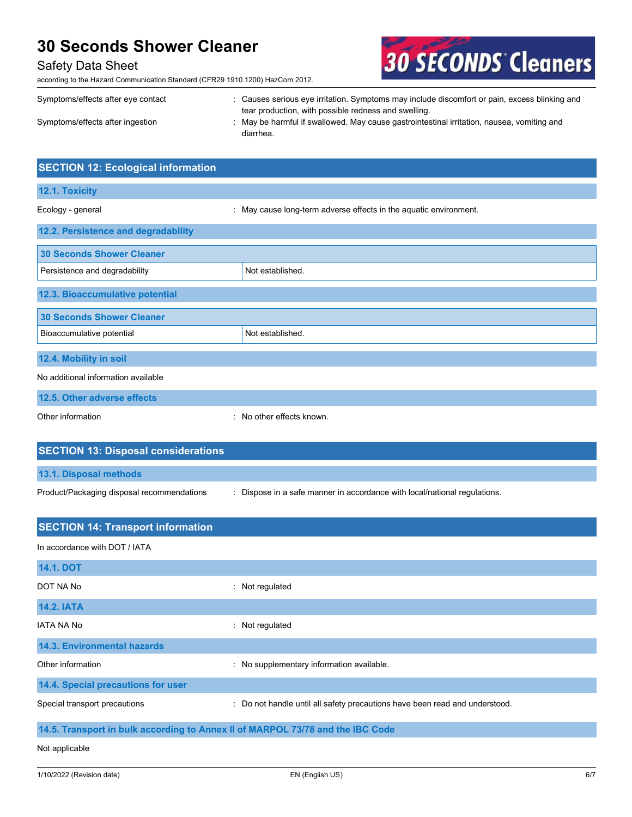# Safety Data Sheet

according to the Hazard Communication Standard (CFR29 1910.1200) HazCom 2012.

Other information **contact of the contact of the contact of the contact of the contact of the contact of the contact of the contact of the contact of the contact of the contact of the contact of the contact of the contact** 



| Symptoms/effects after eye contact | : Causes serious eye irritation. Symptoms may include discomfort or pain, excess blinking and |
|------------------------------------|-----------------------------------------------------------------------------------------------|
|                                    | tear production, with possible redness and swelling.                                          |
| Symptoms/effects after ingestion   | May be harmful if swallowed. May cause gastrointestinal irritation, nausea, vomiting and      |
|                                    | diarrhea.                                                                                     |

| <b>SECTION 12: Ecological information</b> |                                                                   |
|-------------------------------------------|-------------------------------------------------------------------|
| 12.1. Toxicity                            |                                                                   |
| Ecology - general                         | : May cause long-term adverse effects in the aquatic environment. |
| 12.2. Persistence and degradability       |                                                                   |
| <b>30 Seconds Shower Cleaner</b>          |                                                                   |
| Persistence and degradability             | Not established.                                                  |
| 12.3. Bioaccumulative potential           |                                                                   |
| <b>30 Seconds Shower Cleaner</b>          |                                                                   |
| Bioaccumulative potential                 | Not established.                                                  |
| 12.4. Mobility in soil                    |                                                                   |
| No additional information available       |                                                                   |
| 12.5. Other adverse effects               |                                                                   |

| <b>SECTION 13: Disposal considerations</b> |                                                                           |
|--------------------------------------------|---------------------------------------------------------------------------|
| 13.1. Disposal methods                     |                                                                           |
| Product/Packaging disposal recommendations | : Dispose in a safe manner in accordance with local/national regulations. |

| <b>SECTION 14: Transport information</b>                                       |                                                                             |  |  |  |
|--------------------------------------------------------------------------------|-----------------------------------------------------------------------------|--|--|--|
| In accordance with DOT / IATA                                                  |                                                                             |  |  |  |
| <b>14.1. DOT</b>                                                               |                                                                             |  |  |  |
| DOT NA No                                                                      | $:$ Not regulated                                                           |  |  |  |
| <b>14.2. IATA</b>                                                              |                                                                             |  |  |  |
| <b>IATA NA No</b>                                                              | : Not regulated                                                             |  |  |  |
| 14.3. Environmental hazards                                                    |                                                                             |  |  |  |
| Other information                                                              | : No supplementary information available.                                   |  |  |  |
| 14.4. Special precautions for user                                             |                                                                             |  |  |  |
| Special transport precautions                                                  | : Do not handle until all safety precautions have been read and understood. |  |  |  |
| 14.5. Transport in bulk according to Annex II of MARPOL 73/78 and the IBC Code |                                                                             |  |  |  |
| Not applicable                                                                 |                                                                             |  |  |  |